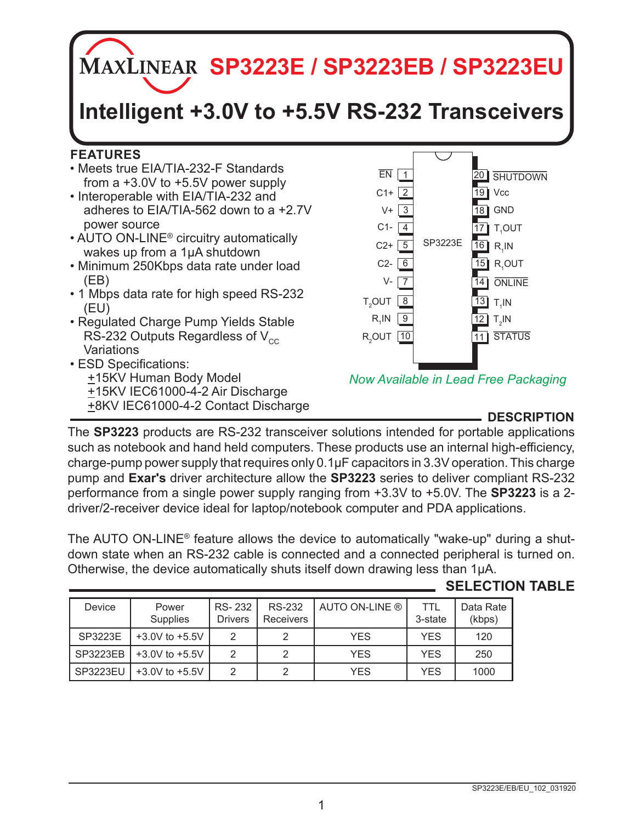**MAXLINEAR SP3223E / SP3223EB / SP3223EU** 

# **Intelligent +3.0V to +5.5V RS-232 Transceivers**

## **FEATURES**

- Meets true EIA/TIA-232-F Standards from a +3.0V to +5.5V power supply
- Interoperable with EIA/TIA-232 and adheres to EIA/TIA-562 down to a +2.7V power source
- AUTO ON-LINE® circuitry automatically wakes up from a 1µA shutdown
- Minimum 250Kbps data rate under load (EB)
- 1 Mbps data rate for high speed RS-232 (EU)
- Regulated Charge Pump Yields Stable RS-232 Outputs Regardless of  $V_{cc}$ **Variations**
- ESD Specifications: +15KV Human Body Model +15KV IEC61000-4-2 Air Discharge +8KV IEC61000-4-2 Contact Discharge **DESCRIPTION**



*Now Available in Lead Free Packaging*

The **SP3223** products are RS-232 transceiver solutions intended for portable applications such as notebook and hand held computers. These products use an internal high-efficiency, charge-pump power supply that requires only 0.1µF capacitors in 3.3V operation. This charge pump and **Exar's** driver architecture allow the **SP3223** series to deliver compliant RS-232 performance from a single power supply ranging from +3.3V to +5.0V. The **SP3223** is a 2 driver/2-receiver device ideal for laptop/notebook computer and PDA applications.

The AUTO ON-LINE<sup>®</sup> feature allows the device to automatically "wake-up" during a shutdown state when an RS-232 cable is connected and a connected peripheral is turned on. Otherwise, the device automatically shuts itself down drawing less than 1µA.

**SELECTION TABLE**

| Device          | Power<br>Supplies  | RS-232<br><b>Drivers</b> | <b>RS-232</b><br>Receivers | AUTO ON-LINE ® | TTI<br>3-state | Data Rate<br>(kbps) |
|-----------------|--------------------|--------------------------|----------------------------|----------------|----------------|---------------------|
| SP3223E         | $+3.0V$ to $+5.5V$ | っ                        |                            | <b>YES</b>     | <b>YES</b>     | 120                 |
| <b>SP3223EB</b> | $+3.0V$ to $+5.5V$ |                          |                            | <b>YFS</b>     | <b>YES</b>     | 250                 |
| SP3223EU        | $+3.0V$ to $+5.5V$ |                          |                            | YES            | <b>YES</b>     | 1000                |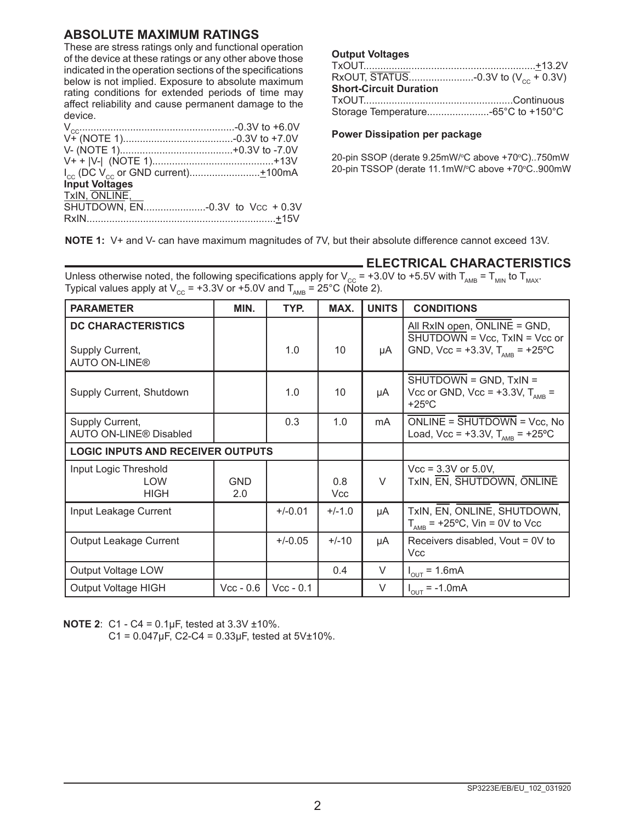#### **ABSOLUTE MAXIMUM RATINGS**

These are stress ratings only and functional operation of the device at these ratings or any other above those indicated in the operation sections of the specifications below is not implied. Exposure to absolute maximum rating conditions for extended periods of time may affect reliability and cause permanent damage to the device.

| <b>Input Voltages</b> |  |
|-----------------------|--|
| TxIN, ONLINE,         |  |
|                       |  |
|                       |  |
|                       |  |

#### **Output Voltages**

| <b>Short-Circuit Duration</b>      |  |
|------------------------------------|--|
|                                    |  |
| Storage Temperature-65°C to +150°C |  |

#### **Power Dissipation per package**

20-pin SSOP (derate 9.25mW/°C above +70°C)..750mW 20-pin TSSOP (derate 11.1mW/°C above +70°C..900mW

**NOTE 1:** V+ and V- can have maximum magnitudes of 7V, but their absolute difference cannot exceed 13V.

Unless otherwise noted, the following specifications apply for V<sub>cc</sub> = +3.0V to +5.5V with T<sub>AMB</sub> = T<sub>MIN</sub> to T<sub>MAX</sub>.

| Typical values apply at V <sub>cc</sub> = +3.3V or +5.0V and T <sub>AMB</sub> = 25°C (Note 2). |                   |             |                   |                                  |                                                                                                                                 |  |  |
|------------------------------------------------------------------------------------------------|-------------------|-------------|-------------------|----------------------------------|---------------------------------------------------------------------------------------------------------------------------------|--|--|
| <b>PARAMETER</b>                                                                               | MIN.              | TYP.        | MAX.              | <b>UNITS</b>                     | <b>CONDITIONS</b>                                                                                                               |  |  |
| <b>DC CHARACTERISTICS</b><br>Supply Current,<br><b>AUTO ON-LINE®</b>                           |                   | 1.0         | 10                | μA                               | All RxIN open, ONLINE = GND,<br>$\overline{\text{SHUTDOWN}}$ = Vcc, TxIN = Vcc or<br>GND, Vcc = +3.3V, $T_{\text{AMR}}$ = +25°C |  |  |
| Supply Current, Shutdown                                                                       |                   | 1.0         | 10                | μA                               | $\overline{SHUTDOWN} = \overline{GND}$ , $TxIN =$<br>Vcc or GND, Vcc = $+3.3V$ , T <sub>AMB</sub> =<br>$+25^{\circ}$ C          |  |  |
| Supply Current,<br><b>AUTO ON-LINE® Disabled</b>                                               |                   | 0.3         | 1.0               | mA                               | $ONLINE = SHUTDOWN = Vec, No$<br>Load, Vcc = +3.3V, $T_{\text{AMR}}$ = +25°C                                                    |  |  |
| <b>LOGIC INPUTS AND RECEIVER OUTPUTS</b>                                                       |                   |             |                   |                                  |                                                                                                                                 |  |  |
| Input Logic Threshold<br><b>LOW</b><br><b>HIGH</b>                                             | <b>GND</b><br>2.0 |             | 0.8<br><b>Vcc</b> | $\vee$                           | $Vec = 3.3V$ or 5.0V,<br>TxIN, EN, SHUTDOWN, ONLINE                                                                             |  |  |
| Input Leakage Current                                                                          |                   | $+/-0.01$   | $+/-1.0$          | μA                               | TxIN, EN, ONLINE, SHUTDOWN,<br>$T_{\text{AMB}}$ = +25°C, Vin = 0V to Vcc                                                        |  |  |
| <b>Output Leakage Current</b><br>$+/-0.05$                                                     |                   |             | $+/-10$           | μA                               | Receivers disabled, Vout = 0V to<br>Vcc                                                                                         |  |  |
| Output Voltage LOW                                                                             |                   | 0.4         | $\vee$            | $I_{\text{OUT}} = 1.6 \text{mA}$ |                                                                                                                                 |  |  |
| Output Voltage HIGH                                                                            | $Vec - 0.6$       | $Vcc - 0.1$ |                   | $\vee$                           | $I_{\text{OUT}}$ = -1.0mA                                                                                                       |  |  |

**ELECTRICAL CHARACTERISTICS**

**NOTE 2**: C1 - C4 = 0.1µF, tested at 3.3V ±10%.

 $C1 = 0.047 \mu F$ ,  $C2-C4 = 0.33 \mu F$ , tested at  $5V \pm 10\%$ .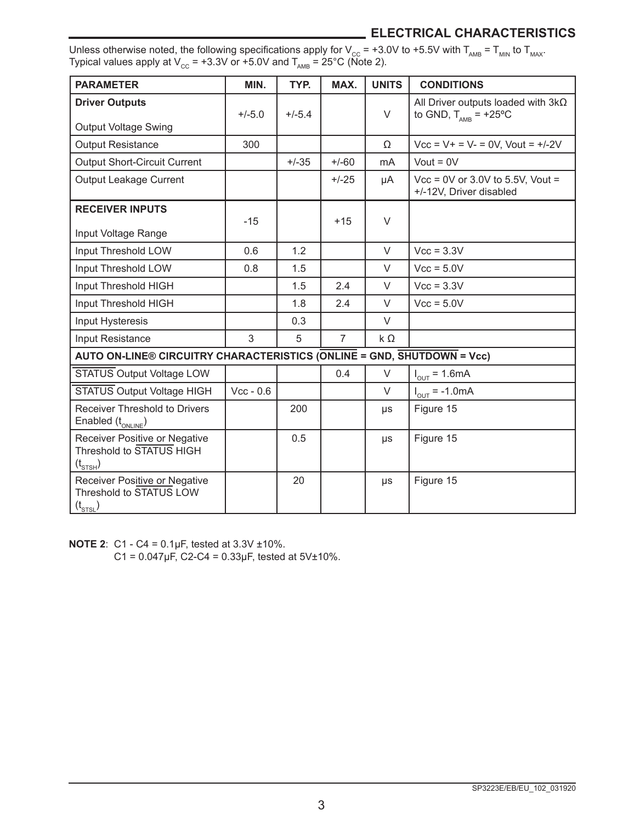# **ELECTRICAL CHARACTERISTICS**

| Unless otherwise noted, the following specifications apply for V <sub>cc</sub> = +3.0V to +5.5V with T <sub>AMB</sub> = T <sub>MIN</sub> to T <sub>MAX</sub> . |  |
|----------------------------------------------------------------------------------------------------------------------------------------------------------------|--|
| Typical values apply at V <sub>cc</sub> = +3.3V or +5.0V and T <sub>ama</sub> = 25°C (Note 2).                                                                 |  |

| <b>PARAMETER</b>                                                                 | MIN.        | TYP.     | MAX.           | <b>UNITS</b> | <b>CONDITIONS</b>                                                             |
|----------------------------------------------------------------------------------|-------------|----------|----------------|--------------|-------------------------------------------------------------------------------|
| <b>Driver Outputs</b><br><b>Output Voltage Swing</b>                             | $+/-5.0$    | $+/-5.4$ |                | $\vee$       | All Driver outputs loaded with $3k\Omega$<br>to GND, $T_{\text{AMB}}$ = +25°C |
| <b>Output Resistance</b>                                                         | 300         |          |                | Ω            | $Vec = V + V = V - 0V$ . Vout = +/-2V                                         |
| <b>Output Short-Circuit Current</b>                                              |             | $+/-35$  | $+/-60$        | mA           | Vout = $0V$                                                                   |
| Output Leakage Current                                                           |             |          | $+/-25$        | μA           | $Vec = 0V$ or 3.0V to 5.5V, Vout =<br>+/-12V. Driver disabled                 |
| <b>RECEIVER INPUTS</b>                                                           | $-15$       |          | $+15$          | $\vee$       |                                                                               |
| Input Voltage Range                                                              |             |          |                |              |                                                                               |
| Input Threshold LOW                                                              | 0.6         | 1.2      |                | $\vee$       | $Vcc = 3.3V$                                                                  |
| Input Threshold LOW                                                              | 0.8         | 1.5      |                | $\vee$       | $Vcc = 5.0V$                                                                  |
| Input Threshold HIGH                                                             |             | 1.5      | 2.4            | $\vee$       | $Vec = 3.3V$                                                                  |
| Input Threshold HIGH                                                             |             | 1.8      | 2.4            | $\vee$       | $Vec = 5.0V$                                                                  |
| Input Hysteresis                                                                 |             | 0.3      |                | $\vee$       |                                                                               |
| Input Resistance                                                                 | 3           | 5        | $\overline{7}$ | $k\Omega$    |                                                                               |
| AUTO ON-LINE® CIRCUITRY CHARACTERISTICS (ONLINE = GND, SHUTDOWN = Vcc)           |             |          |                |              |                                                                               |
| <b>STATUS Output Voltage LOW</b>                                                 |             |          | 0.4            | $\vee$       | $I_{\text{out}} = 1.6 \text{mA}$                                              |
| <b>STATUS Output Voltage HIGH</b>                                                | $Vec - 0.6$ |          |                | $\vee$       | $I_{\text{out}} = -1.0 \text{mA}$                                             |
| Receiver Threshold to Drivers<br>Enabled $(t_{\text{ONLINE}})$                   |             | 200      |                | μs           | Figure 15                                                                     |
| Receiver Positive or Negative<br>Threshold to STATUS HIGH<br>$(t_{\text{STSH}})$ |             | 0.5      |                | μs           | Figure 15                                                                     |
| Receiver Positive or Negative<br>Threshold to STATUS LOW<br>$(t_{\text{STSL}})$  |             | 20       |                | μs           | Figure 15                                                                     |

**NOTE 2**: C1 - C4 = 0.1µF, tested at 3.3V ±10%.

C1 =  $0.047 \mu F$ , C2-C4 =  $0.33 \mu F$ , tested at 5V±10%.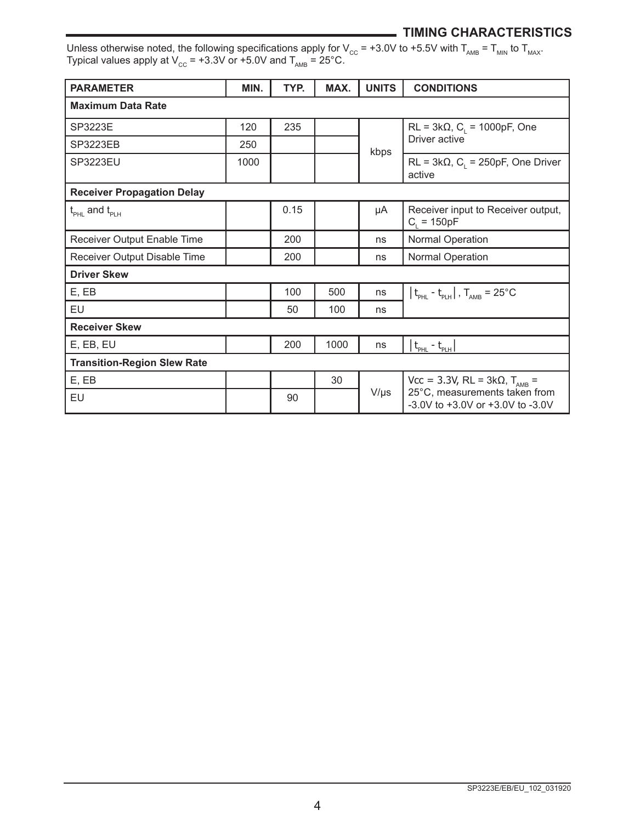#### **TIMING CHARACTERISTICS**

Unless otherwise noted, the following specifications apply for V $_{\rm CC}$  = +3.0V to +5.5V with T $_{\rm AMB}$  = T $_{\rm MM}$  to T $_{\rm MAX}$ . Typical values apply at V $_{\rm cc}$  = +3.3V or +5.0V and T $_{_{\sf AMB}}$  = 25°C.

| <b>PARAMETER</b>                                                      | MIN. | TYP. | MAX. | <b>UNITS</b> | <b>CONDITIONS</b>                                                          |  |
|-----------------------------------------------------------------------|------|------|------|--------------|----------------------------------------------------------------------------|--|
| <b>Maximum Data Rate</b>                                              |      |      |      |              |                                                                            |  |
| SP3223E                                                               | 120  | 235  |      |              | $RL = 3k\Omega$ , C <sub>1</sub> = 1000pF, One                             |  |
| <b>SP3223EB</b>                                                       | 250  |      |      | kbps         | Driver active                                                              |  |
| SP3223EU                                                              | 1000 |      |      |              | $RL = 3k\Omega$ , C <sub>1</sub> = 250pF, One Driver<br>active             |  |
| <b>Receiver Propagation Delay</b>                                     |      |      |      |              |                                                                            |  |
| $\mathfrak{t}_{_{\mathrm{PHI}}}$ and $\mathfrak{t}_{_{\mathrm{PHH}}}$ |      | 0.15 |      | μA           | Receiver input to Receiver output,<br>$C_i = 150pF$                        |  |
| Receiver Output Enable Time                                           |      | 200  |      | ns           | Normal Operation                                                           |  |
| Receiver Output Disable Time                                          |      | 200  |      | ns           | <b>Normal Operation</b>                                                    |  |
| <b>Driver Skew</b>                                                    |      |      |      |              |                                                                            |  |
| E, EB                                                                 |      | 100  | 500  | ns           | $ t_{\text{pH}} - t_{\text{pH}} $ , $T_{\text{AMB}} = 25^{\circ} \text{C}$ |  |
| EU                                                                    |      | 50   | 100  | ns           |                                                                            |  |
| <b>Receiver Skew</b>                                                  |      |      |      |              |                                                                            |  |
| E, EB, EU                                                             |      | 200  | 1000 | ns           | $t_{\text{PHL}} - t_{\text{PLH}}$                                          |  |
| <b>Transition-Region Slew Rate</b>                                    |      |      |      |              |                                                                            |  |
| E, EB                                                                 |      |      | 30   |              | Vcc = 3.3V, RL = 3kΩ, T <sub>AMB</sub> =                                   |  |
| EU                                                                    |      | 90   |      | $V/\mu s$    | 25°C, measurements taken from<br>$-3.0V$ to $+3.0V$ or $+3.0V$ to $-3.0V$  |  |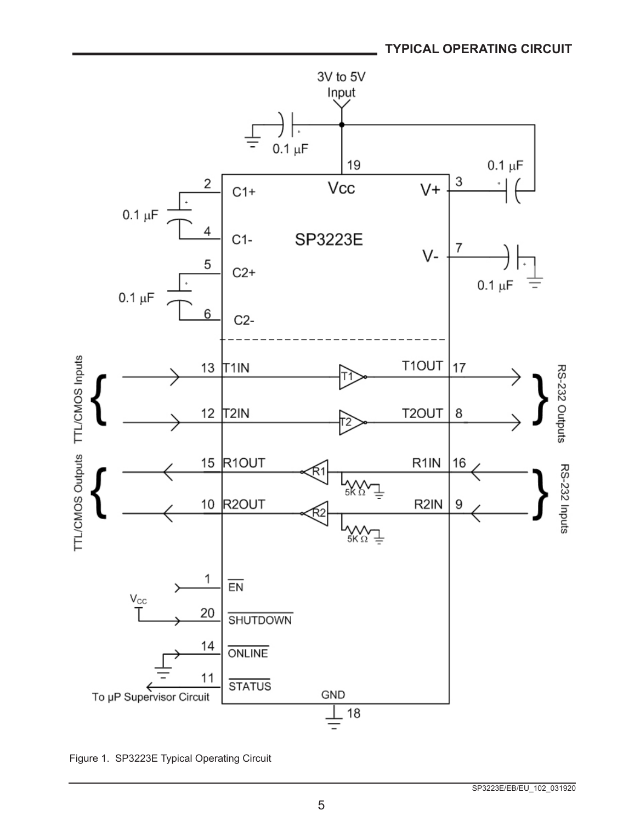

Figure 1. SP3223E Typical Operating Circuit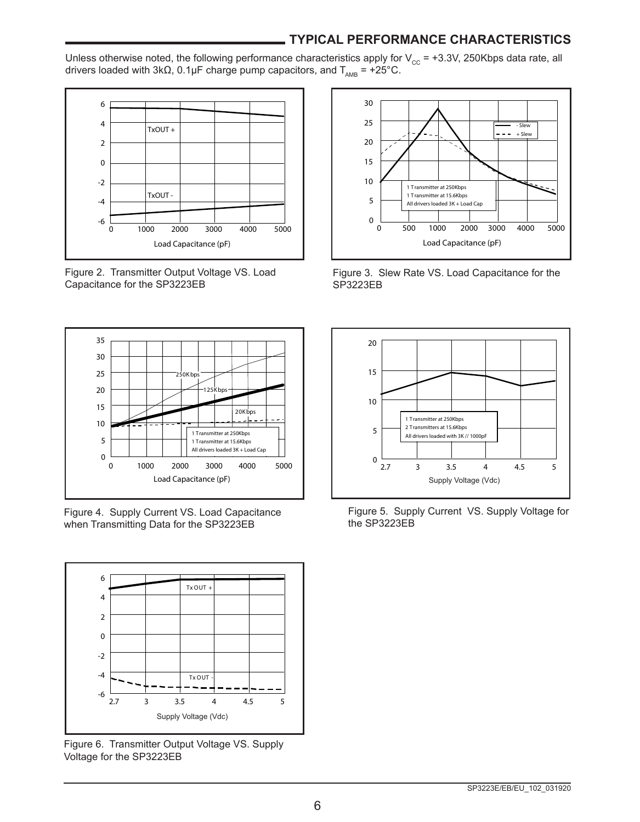#### **TYPICAL PERFORMANCE CHARACTERISTICS**

Unless otherwise noted, the following performance characteristics apply for  $V_{cc}$  = +3.3V, 250Kbps data rate, all drivers loaded with 3kΩ, 0.1µF charge pump capacitors, and  $T_{AMB}$  = +25°C.



Figure 2. Transmitter Output Voltage VS. Load Capacitance for the SP3223EB



Figure 4. Supply Current VS. Load Capacitance when Transmitting Data for the SP3223EB



Figure 6. Transmitter Output Voltage VS. Supply Voltage for the SP3223EB



Figure 3. Slew Rate VS. Load Capacitance for the SP3223EB



Figure 5. Supply Current VS. Supply Voltage for the SP3223EB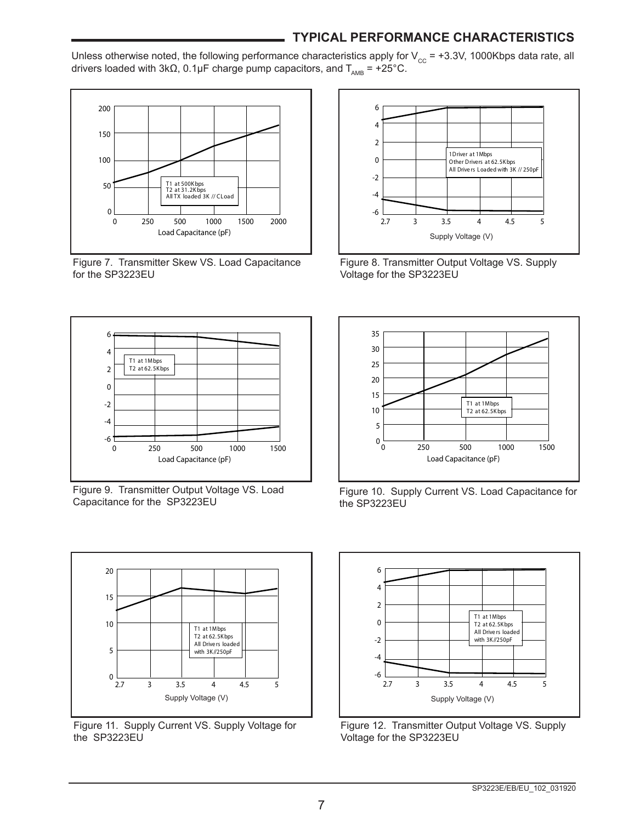#### **TYPICAL PERFORMANCE CHARACTERISTICS**

Unless otherwise noted, the following performance characteristics apply for  $V_{cc}$  = +3.3V, 1000Kbps data rate, all drivers loaded with 3kΩ, 0.1µF charge pump capacitors, and  $T_{\text{AMB}} = +25^{\circ}$ °C.



Figure 7. Transmitter Skew VS. Load Capacitance for the SP3223EU



Figure 8. Transmitter Output Voltage VS. Supply Voltage for the SP3223EU



Figure 9. Transmitter Output Voltage VS. Load Capacitance for the SP3223EU

 $20$ 

15

10

5



Figure 10. Supply Current VS. Load Capacitance for the SP3223EU



Figure 11. Supply Current VS. Supply Voltage for the SP3223EU



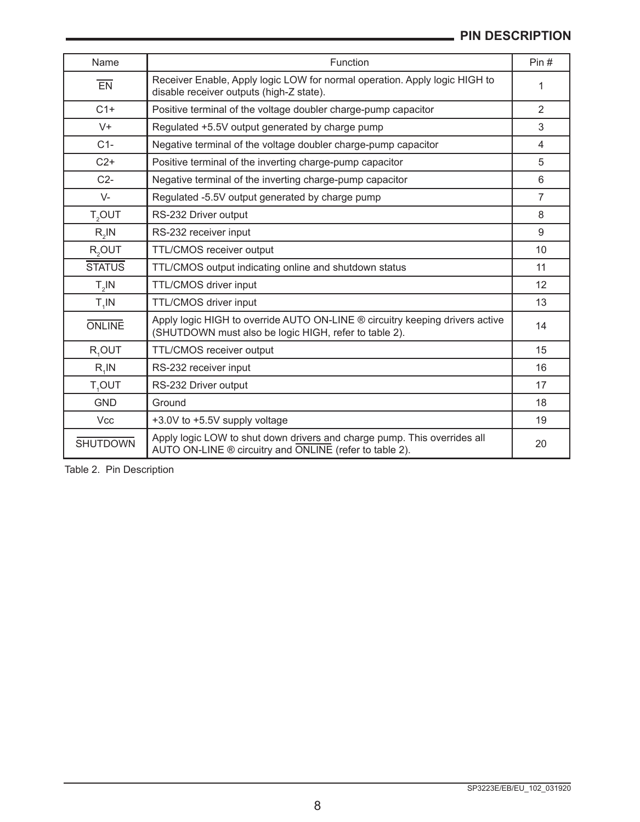# **PIN DESCRIPTION**

| Name               | Function                                                                                                                              | Pin# |  |  |  |  |
|--------------------|---------------------------------------------------------------------------------------------------------------------------------------|------|--|--|--|--|
| EN                 | Receiver Enable, Apply logic LOW for normal operation. Apply logic HIGH to<br>disable receiver outputs (high-Z state).                |      |  |  |  |  |
| $C1+$              | Positive terminal of the voltage doubler charge-pump capacitor                                                                        |      |  |  |  |  |
| $V +$              | Regulated +5.5V output generated by charge pump                                                                                       | 3    |  |  |  |  |
| $C1-$              | Negative terminal of the voltage doubler charge-pump capacitor                                                                        | 4    |  |  |  |  |
| $C2+$              | Positive terminal of the inverting charge-pump capacitor                                                                              | 5    |  |  |  |  |
| $C2-$              | Negative terminal of the inverting charge-pump capacitor                                                                              | 6    |  |  |  |  |
| $V -$              | Regulated -5.5V output generated by charge pump                                                                                       | 7    |  |  |  |  |
| T <sub>2</sub> OUT | RS-232 Driver output                                                                                                                  | 8    |  |  |  |  |
| $R_{2}$ IN         | RS-232 receiver input                                                                                                                 | 9    |  |  |  |  |
| $R2$ OUT           | <b>TTL/CMOS</b> receiver output                                                                                                       | 10   |  |  |  |  |
| <b>STATUS</b>      | TTL/CMOS output indicating online and shutdown status                                                                                 | 11   |  |  |  |  |
| $T_{2}$ IN         | TTL/CMOS driver input                                                                                                                 | 12   |  |  |  |  |
| $T_A IN$           | TTL/CMOS driver input                                                                                                                 | 13   |  |  |  |  |
| <b>ONLINE</b>      | Apply logic HIGH to override AUTO ON-LINE ® circuitry keeping drivers active<br>(SHUTDOWN must also be logic HIGH, refer to table 2). | 14   |  |  |  |  |
| R,OUT              | TTL/CMOS receiver output                                                                                                              | 15   |  |  |  |  |
| $R$ , $IN$         | RS-232 receiver input                                                                                                                 | 16   |  |  |  |  |
| T <sub>4</sub> OUT | RS-232 Driver output                                                                                                                  | 17   |  |  |  |  |
| <b>GND</b>         | Ground                                                                                                                                | 18   |  |  |  |  |
| <b>Vcc</b>         | +3.0V to +5.5V supply voltage                                                                                                         | 19   |  |  |  |  |
| <b>SHUTDOWN</b>    | Apply logic LOW to shut down drivers and charge pump. This overrides all<br>AUTO ON-LINE ® circuitry and ONLINE (refer to table 2).   | 20   |  |  |  |  |

Table 2. Pin Description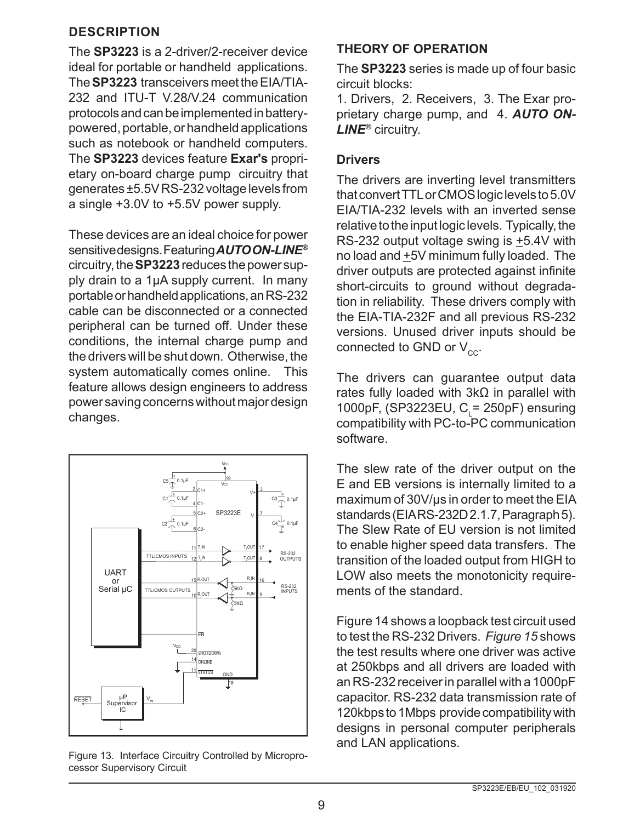#### **DESCRIPTION**

The **SP3223** is a 2-driver/2-receiver device ideal for portable or handheld applications. The **SP3223** transceivers meet the EIA/TIA-232 and ITU-T V.28/V.24 communication protocols and can be implemented in batterypowered, portable, or handheld applications such as notebook or handheld computers. The **SP3223** devices feature **Exar's** proprietary on-board charge pump circuitry that generates ±5.5V RS-232 voltage levels from a single +3.0V to +5.5V power supply.

These devices are an ideal choice for power sensitive designs. Featuring *AUTO ON-LINE®* circuitry, the **SP3223** reduces the power supply drain to a 1µA supply current. In many portable or handheld applications, an RS-232 cable can be disconnected or a connected peripheral can be turned off. Under these conditions, the internal charge pump and the drivers will be shut down. Otherwise, the system automatically comes online. This feature allows design engineers to address power saving concerns without major design changes.



Figure 13. Interface Circuitry Controlled by Microprocessor Supervisory Circuit

# **THEORY OF OPERATION**

The **SP3223** series is made up of four basic circuit blocks:

1. Drivers, 2. Receivers, 3. The Exar proprietary charge pump, and 4. *AUTO ON-LINE®* circuitry.

#### **Drivers**

The drivers are inverting level transmitters that convert TTL or CMOS logic levels to 5.0V EIA/TIA-232 levels with an inverted sense relative to the input logic levels. Typically, the RS-232 output voltage swing is  $\pm$ 5.4V with no load and  $\pm$ 5V minimum fully loaded. The driver outputs are protected against infinite short-circuits to ground without degradation in reliability. These drivers comply with the EIA-TIA-232F and all previous RS-232 versions. Unused driver inputs should be connected to GND or  $V_{cc}$ .

The drivers can guarantee output data rates fully loaded with 3kΩ in parallel with 1000pF, (SP3223EU,  $C_{L}$ = 250pF) ensuring compatibility with PC-to-PC communication software.

The slew rate of the driver output on the E and EB versions is internally limited to a maximum of 30V/µs in order to meet the EIA standards (EIA RS-232D 2.1.7, Paragraph 5). The Slew Rate of EU version is not limited to enable higher speed data transfers. The transition of the loaded output from HIGH to LOW also meets the monotonicity requirements of the standard.

Figure 14 shows a loopback test circuit used to test the RS-232 Drivers. *Figure 15* shows the test results where one driver was active at 250kbps and all drivers are loaded with an RS-232 receiver in parallel with a 1000pF capacitor. RS-232 data transmission rate of 120kbps to 1Mbps provide compatibility with designs in personal computer peripherals and LAN applications.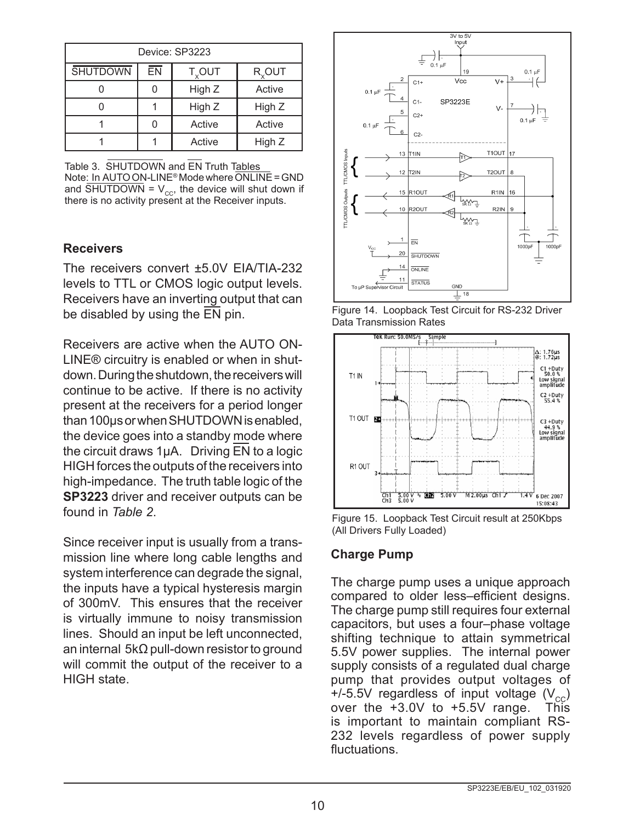| Device: SP3223                                                        |        |        |        |  |  |  |  |
|-----------------------------------------------------------------------|--------|--------|--------|--|--|--|--|
| ĒΝ<br><b>SHUTDOWN</b><br>$T_{\rm v}$ OUT<br><b>R</b> <sub>v</sub> OUT |        |        |        |  |  |  |  |
|                                                                       |        | High Z | Active |  |  |  |  |
|                                                                       | High Z |        |        |  |  |  |  |
| Active<br>Active<br>ი                                                 |        |        |        |  |  |  |  |
|                                                                       |        | Active | High Z |  |  |  |  |

Table 3. SHUTDOWN and EN Truth Tables Note: In AUTO ON-LINE® Mode where ONLINE = GND and SHUTDOWN =  $V_{cc}$ , the device will shut down if there is no activity present at the Receiver inputs.

#### **Receivers**

The receivers convert ±5.0V EIA/TIA-232 levels to TTL or CMOS logic output levels. Receivers have an inverting output that can be disabled by using the EN pin.

Receivers are active when the AUTO ON-LINE® circuitry is enabled or when in shutdown. During the shutdown, the receivers will continue to be active. If there is no activity present at the receivers for a period longer than 100µs or when SHUTDOWN is enabled, the device goes into a standby mode where the circuit draws 1µA. Driving EN to a logic HIGH forces the outputs of the receivers into high-impedance. The truth table logic of the **SP3223** driver and receiver outputs can be found in *Table 2*.

Since receiver input is usually from a transmission line where long cable lengths and system interference can degrade the signal, the inputs have a typical hysteresis margin of 300mV. This ensures that the receiver is virtually immune to noisy transmission lines. Should an input be left unconnected, an internal 5kΩ pull-down resistor to ground will commit the output of the receiver to a HIGH state.



Figure 14. Loopback Test Circuit for RS-232 Driver Data Transmission Rates



Figure 15. Loopback Test Circuit result at 250Kbps (All Drivers Fully Loaded)

#### **Charge Pump**

The charge pump uses a unique approach compared to older less–efficient designs. The charge pump still requires four external capacitors, but uses a four–phase voltage shifting technique to attain symmetrical 5.5V power supplies. The internal power supply consists of a regulated dual charge pump that provides output voltages of  $+/-5.5V$  regardless of input voltage  $(V_{\text{cc}})$  over the  $+3.0V$  to  $+5.5V$  range. This over the  $+3.0V$  to  $+5.5V$  range. is important to maintain compliant RS-232 levels regardless of power supply fluctuations.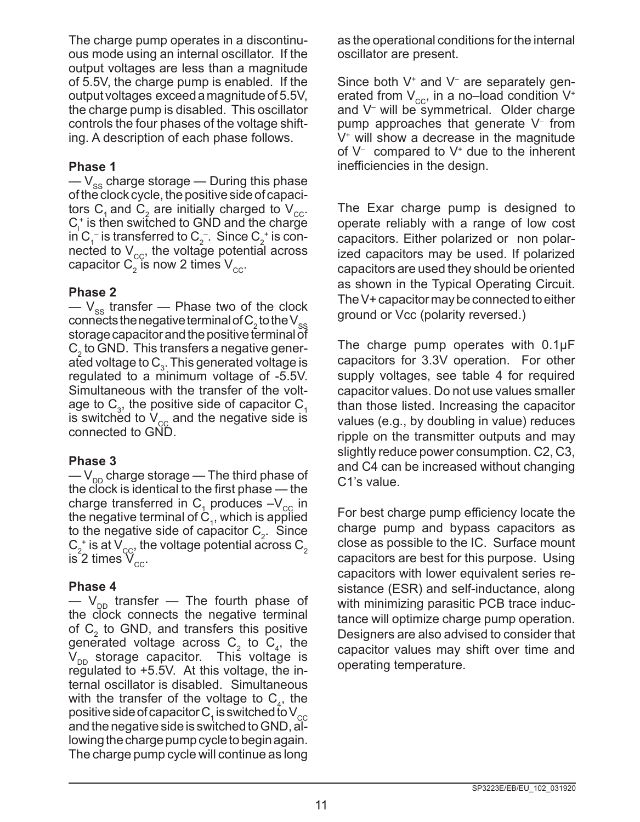The charge pump operates in a discontinuous mode using an internal oscillator. If the output voltages are less than a magnitude of 5.5V, the charge pump is enabled. If the output voltages exceed a magnitude of 5.5V, the charge pump is disabled. This oscillator controls the four phases of the voltage shifting. A description of each phase follows.

#### **Phase 1**

—  $V_{ss}$  charge storage — During this phase of the clock cycle, the positive side of capacitors C<sub>1</sub> and C<sub>2</sub> are initially charged to V<sub>cc</sub>.  $C_1^*$  is then switched to GND and the charge in  $\mathrm C^{-}_1$  is transferred to  $\mathrm C^{-}_2$ . Since  $\mathrm C^{-}_2$  is connected to  $V_{cc}$ , the voltage potential across capacitor  $\textsf{C}_2^{}$  is now 2 times  $\textsf{V}_{\rm cc}^{}$ .

#### **Phase 2**

 $-V_{ss}$  transfer — Phase two of the clock connects the negative terminal of  $\mathsf{C}_2$  to the  $\mathsf{V}_{\mathrm{ss}}$ storage capacitor and the positive terminal of  $C_2$  to GND. This transfers a negative generated voltage to  $C_3$ . This generated voltage is regulated to a minimum voltage of -5.5V. Simultaneous with the transfer of the voltage to  $\textsf{C}_{\scriptscriptstyle{3}}$ , the positive side of capacitor  $\textsf{C}_{\scriptscriptstyle{1}}$ is switched to  $V_{cc}$  and the negative side is connected to GND.

### **Phase 3**

 $-V_{\text{DD}}$  charge storage — The third phase of the clock is identical to the first phase  $-$  the charge transferred in  $C_1$  produces  $-V_{\text{cc}}$  in the negative terminal of  $C_1$ , which is applied to the negative side of capacitor  $C_2$ . Since  $\mathsf{C}_2^+$  is at  $\mathsf{V}_{\text{cc}}^+$  the voltage potential across  $\mathsf{C}_2^+$ is 2 times  $V_{cc}$ .

### **Phase 4**

 $-$  V<sub>DD</sub> transfer  $-$  The fourth phase of the clock connects the negative terminal of  $C_2$  to GND, and transfers this positive generated voltage across  $C_2$  to  $C_4$ , the  $V_{DD}$  storage capacitor. This voltage is regulated to +5.5V. At this voltage, the internal oscillator is disabled. Simultaneous with the transfer of the voltage to  $C_4$ , the positive side of capacitor C  $_{\textrm{\tiny{1}}}$  is switched to V  $_{\textrm{\tiny{CC}}}$ and the negative side is switched to GND, allowing the charge pump cycle to begin again. The charge pump cycle will continue as long

as the operational conditions for the internal oscillator are present.

Since both V<sup>+</sup> and V<sup>-</sup> are separately generated from  $V_{cc}$ , in a no–load condition  $V^*$ and V– will be symmetrical. Older charge pump approaches that generate V– from  $V^*$  will show a decrease in the magnitude of V– compared to V+ due to the inherent inefficiencies in the design.

The Exar charge pump is designed to operate reliably with a range of low cost capacitors. Either polarized or non polarized capacitors may be used. If polarized capacitors are used they should be oriented as shown in the Typical Operating Circuit. The V+ capacitor may be connected to either ground or Vcc (polarity reversed.)

The charge pump operates with 0.1µF capacitors for 3.3V operation. For other supply voltages, see table 4 for required capacitor values. Do not use values smaller than those listed. Increasing the capacitor values (e.g., by doubling in value) reduces ripple on the transmitter outputs and may slightly reduce power consumption. C2, C3, and C4 can be increased without changing C1's value.

For best charge pump efficiency locate the charge pump and bypass capacitors as close as possible to the IC. Surface mount capacitors are best for this purpose. Using capacitors with lower equivalent series resistance (ESR) and self-inductance, along with minimizing parasitic PCB trace inductance will optimize charge pump operation. Designers are also advised to consider that capacitor values may shift over time and operating temperature.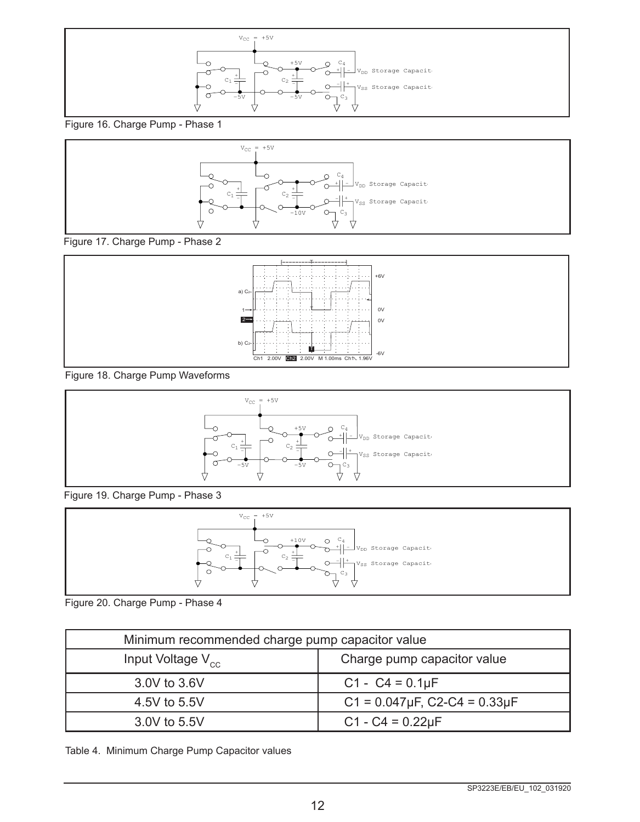

Figure 16. Charge Pump - Phase 1



Figure 17. Charge Pump - Phase 2



Figure 18. Charge Pump Waveforms



Figure 19. Charge Pump - Phase 3



Figure 20. Charge Pump - Phase 4

| Minimum recommended charge pump capacitor value       |                                           |  |  |  |  |
|-------------------------------------------------------|-------------------------------------------|--|--|--|--|
| Charge pump capacitor value<br>Input Voltage $V_{cc}$ |                                           |  |  |  |  |
| 3.0V to 3.6V                                          | $C1 - C4 = 0.1 \mu F$                     |  |  |  |  |
| 4.5V to 5.5V                                          | $C1 = 0.047 \mu F$ , $C2-C4 = 0.33 \mu F$ |  |  |  |  |
| $C1 - C4 = 0.22 \mu F$<br>3.0V to 5.5V                |                                           |  |  |  |  |

Table 4. Minimum Charge Pump Capacitor values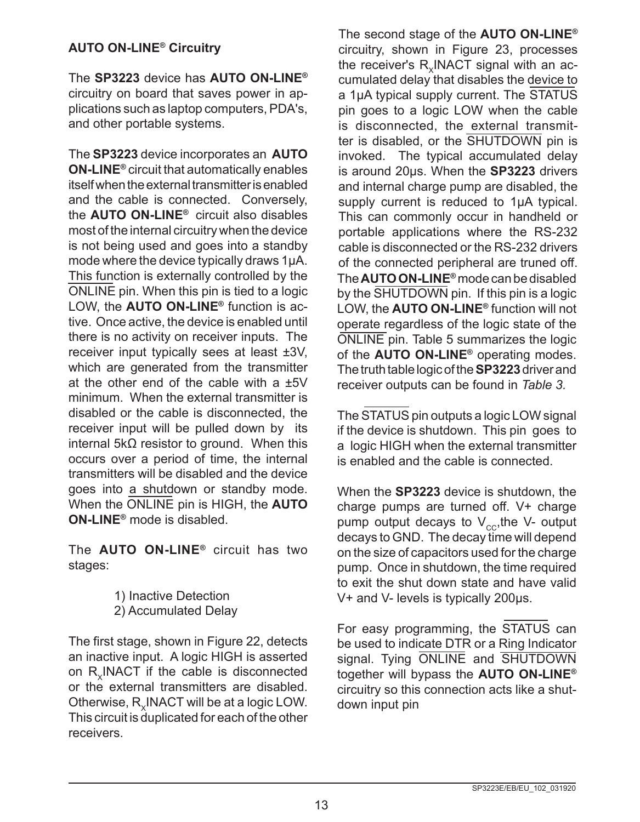# **AUTO ON-LINE® Circuitry**

The **SP3223** device has **AUTO ON-LINE®** circuitry on board that saves power in applications such as laptop computers, PDA's, and other portable systems.

The **SP3223** device incorporates an **AUTO ON-LINE®** circuit that automatically enables itself when the external transmitter is enabled and the cable is connected. Conversely, the **AUTO ON-LINE®** circuit also disables most of the internal circuitry when the device is not being used and goes into a standby mode where the device typically draws 1µA. This function is externally controlled by the ONLINE pin. When this pin is tied to a logic LOW, the **AUTO ON-LINE®** function is active. Once active, the device is enabled until there is no activity on receiver inputs. The receiver input typically sees at least ±3V, which are generated from the transmitter at the other end of the cable with a ±5V minimum. When the external transmitter is disabled or the cable is disconnected, the receiver input will be pulled down by its internal 5kΩ resistor to ground. When this occurs over a period of time, the internal transmitters will be disabled and the device goes into a shutdown or standby mode. When the ONLINE pin is HIGH, the **AUTO ON-LINE®** mode is disabled.

The **AUTO ON-LINE®** circuit has two stages:

> 1) Inactive Detection 2) Accumulated Delay

The first stage, shown in Figure 22, detects an inactive input. A logic HIGH is asserted on R. INACT if the cable is disconnected or the external transmitters are disabled. Otherwise, R<sub>x</sub>INACT will be at a logic LOW. This circuit is  $\hat{d}$ uplicated for each of the other receivers.

The second stage of the **AUTO ON-LINE®** circuitry, shown in Figure 23, processes the receiver's  $R_v$ INACT signal with an accumulated delay that disables the device to a 1µA typical supply current. The STATUS pin goes to a logic LOW when the cable is disconnected, the external transmitter is disabled, or the SHUTDOWN pin is invoked. The typical accumulated delay is around 20µs. When the **SP3223** drivers and internal charge pump are disabled, the supply current is reduced to 1µA typical. This can commonly occur in handheld or portable applications where the RS-232 cable is disconnected or the RS-232 drivers of the connected peripheral are truned off. The **AUTO ON-LINE®** mode can be disabled by the SHUTDOWN pin. If this pin is a logic LOW, the **AUTO ON-LINE®** function will not operate regardless of the logic state of the ONLINE pin. Table 5 summarizes the logic of the **AUTO ON-LINE®** operating modes. The truth table logic of the **SP3223** driver and receiver outputs can be found in *Table 3.*

The STATUS pin outputs a logic LOW signal if the device is shutdown. This pin goes to a logic HIGH when the external transmitter is enabled and the cable is connected.

When the **SP3223** device is shutdown, the charge pumps are turned off. V+ charge pump output decays to  $V_{cc}$ , the V- output decays to GND. The decay time will depend on the size of capacitors used for the charge pump. Once in shutdown, the time required to exit the shut down state and have valid V+ and V- levels is typically 200µs.

For easy programming, the STATUS can be used to indicate DTR or a Ring Indicator signal. Tying ONLINE and SHUTDOWN together will bypass the **AUTO ON-LINE®** circuitry so this connection acts like a shutdown input pin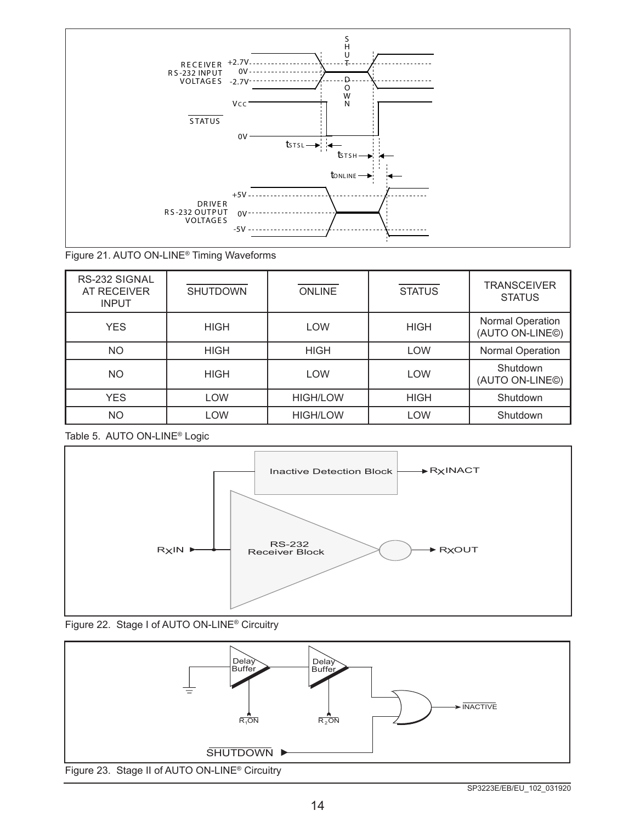

Figure 21. AUTO ON-LINE® Timing Waveforms

| RS-232 SIGNAL<br>AT RECEIVER<br><b>INPUT</b> | <b>SHUTDOWN</b> | <b>ONLINE</b>   | <b>STATUS</b> | <b>TRANSCEIVER</b><br><b>STATUS</b>                     |
|----------------------------------------------|-----------------|-----------------|---------------|---------------------------------------------------------|
| <b>YES</b>                                   | <b>HIGH</b>     | LOW             | <b>HIGH</b>   | <b>Normal Operation</b><br>(AUTO ON-LINE <sup>®</sup> ) |
| NO.                                          | <b>HIGH</b>     | <b>HIGH</b>     | <b>LOW</b>    | <b>Normal Operation</b>                                 |
| NO.                                          | <b>HIGH</b>     | <b>LOW</b>      | <b>LOW</b>    | Shutdown<br>(AUTO ON-LINE©)                             |
| <b>YES</b>                                   | <b>LOW</b>      | <b>HIGH/LOW</b> | <b>HIGH</b>   | Shutdown                                                |
| <b>NO</b>                                    | <b>LOW</b>      | <b>HIGH/LOW</b> | <b>LOW</b>    | Shutdown                                                |

Table 5. AUTO ON-LINE® Logic





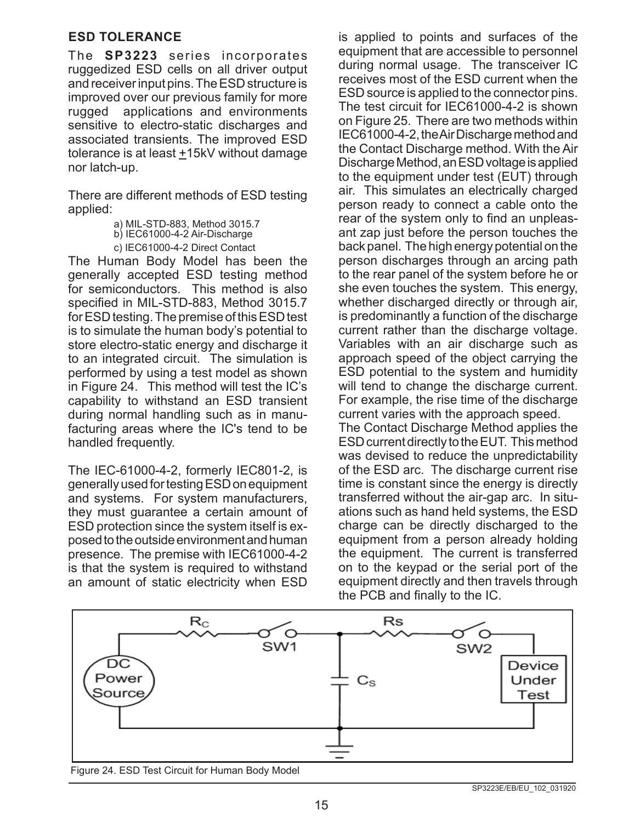#### **ESD TOLERANCE**

The **SP3223** series incorporates ruggedized ESD cells on all driver output and receiver input pins. The ESD structure is improved over our previous family for more rugged applications and environments sensitive to electro-static discharges and associated transients. The improved ESD tolerance is at least  $±15kV$  without damage nor latch-up.

There are different methods of ESD testing applied:

> a) MIL-STD-883, Method 3015.7 b) IEC61000-4-2 Air-Discharge c) IEC61000-4-2 Direct Contact

The Human Body Model has been the generally accepted ESD testing method for semiconductors. This method is also specified in MIL-STD-883, Method 3015.7 for ESD testing. The premise of this ESD test is to simulate the human body's potential to store electro-static energy and discharge it to an integrated circuit. The simulation is performed by using a test model as shown in Figure 24. This method will test the IC's capability to withstand an ESD transient during normal handling such as in manufacturing areas where the IC's tend to be handled frequently.

The IEC-61000-4-2, formerly IEC801-2, is generally used for testing ESD on equipment and systems. For system manufacturers, they must guarantee a certain amount of ESD protection since the system itself is exposed to the outside environment and human presence. The premise with IEC61000-4-2 is that the system is required to withstand an amount of static electricity when ESD is applied to points and surfaces of the equipment that are accessible to personnel during normal usage. The transceiver IC receives most of the ESD current when the ESD source is applied to the connector pins. The test circuit for IEC61000-4-2 is shown on Figure 25. There are two methods within IEC61000-4-2, the Air Discharge method and the Contact Discharge method. With the Air Discharge Method, an ESD voltage is applied to the equipment under test (EUT) through air. This simulates an electrically charged person ready to connect a cable onto the rear of the system only to find an unpleasant zap just before the person touches the back panel. The high energy potential on the person discharges through an arcing path to the rear panel of the system before he or she even touches the system. This energy, whether discharged directly or through air, is predominantly a function of the discharge current rather than the discharge voltage. Variables with an air discharge such as approach speed of the object carrying the ESD potential to the system and humidity will tend to change the discharge current. For example, the rise time of the discharge current varies with the approach speed.

The Contact Discharge Method applies the ESD current directly to the EUT. This method was devised to reduce the unpredictability of the ESD arc. The discharge current rise time is constant since the energy is directly transferred without the air-gap arc. In situations such as hand held systems, the ESD charge can be directly discharged to the equipment from a person already holding the equipment. The current is transferred on to the keypad or the serial port of the equipment directly and then travels through the PCB and finally to the IC.



Figure 24. ESD Test Circuit for Human Body Model

SP3223E/EB/EU\_102\_031920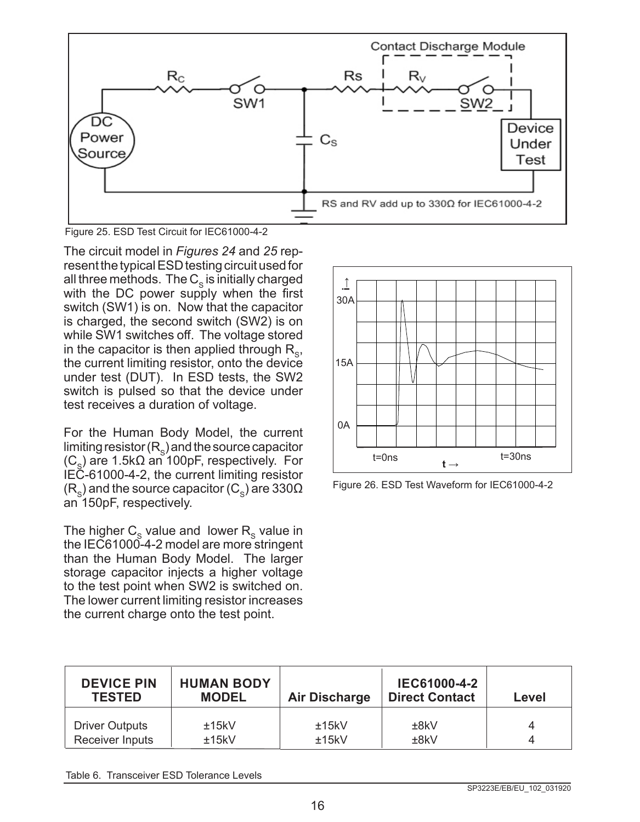

Figure 25. ESD Test Circuit for IEC61000-4-2

The circuit model in *Figures 24* and *25* represent the typical ESD testing circuit used for all three methods. The  $C_s$  is initially charged with the DC power supply when the first switch (SW1) is on. Now that the capacitor is charged, the second switch (SW2) is on while SW1 switches off. The voltage stored in the capacitor is then applied through  $R_{\rm s}$ , the current limiting resistor, onto the device under test (DUT). In ESD tests, the SW2 switch is pulsed so that the device under test receives a duration of voltage.

For the Human Body Model, the current limiting resistor  $(R_s)$  and the source capacitor  $(C_{s})$  are 1.5k $\Omega$  an 100pF, respectively. For IEC-61000-4-2, the current limiting resistor  $(R_{\rm s})$  and the source capacitor (C<sub>s</sub>) are 330 $\Omega$ an 150pF, respectively.

The higher  $C_{\rm s}$  value and lower  $R_{\rm s}$  value in the IEC61000-4-2 model are more stringent than the Human Body Model. The larger storage capacitor injects a higher voltage to the test point when SW2 is switched on. The lower current limiting resistor increases the current charge onto the test point.



Figure 26. ESD Test Waveform for IEC61000-4-2

| <b>DEVICE PIN</b><br><b>TESTED</b> | <b>HUMAN BODY</b><br><b>MODEL</b> | <b>Air Discharge</b> | IEC61000-4-2<br><b>Direct Contact</b> | Level |
|------------------------------------|-----------------------------------|----------------------|---------------------------------------|-------|
| <b>Driver Outputs</b>              | ±15kV                             | ±15kV                | ±8kV                                  |       |
| Receiver Inputs                    | ±15kV                             | ±15kV                | ±8kV                                  |       |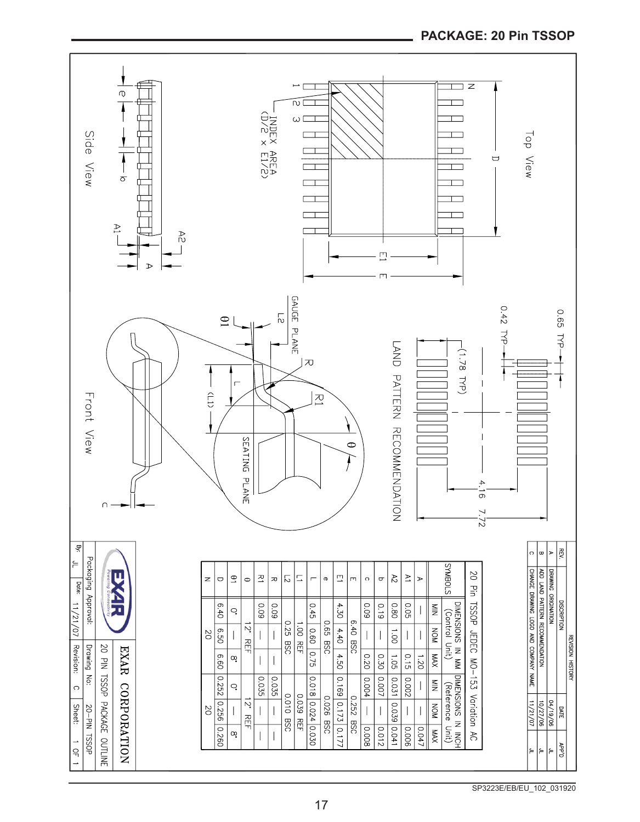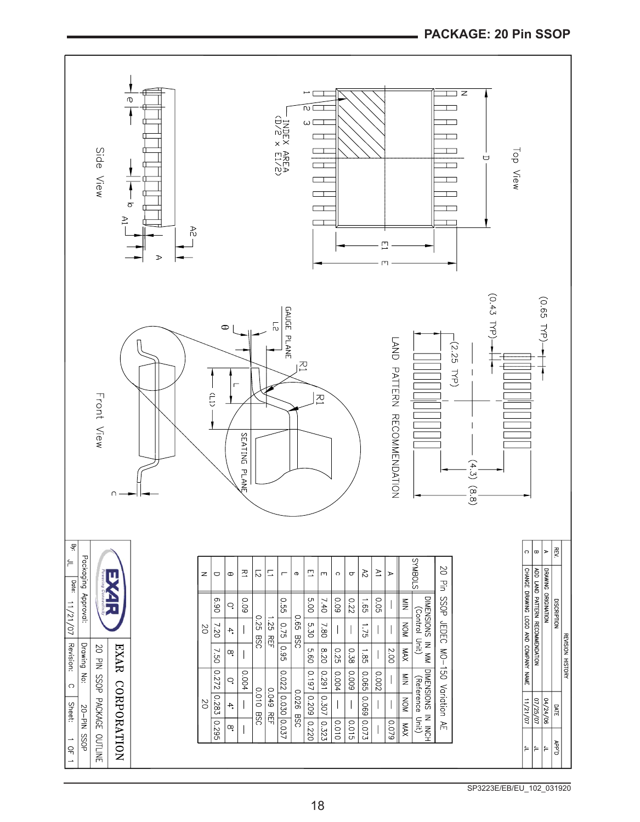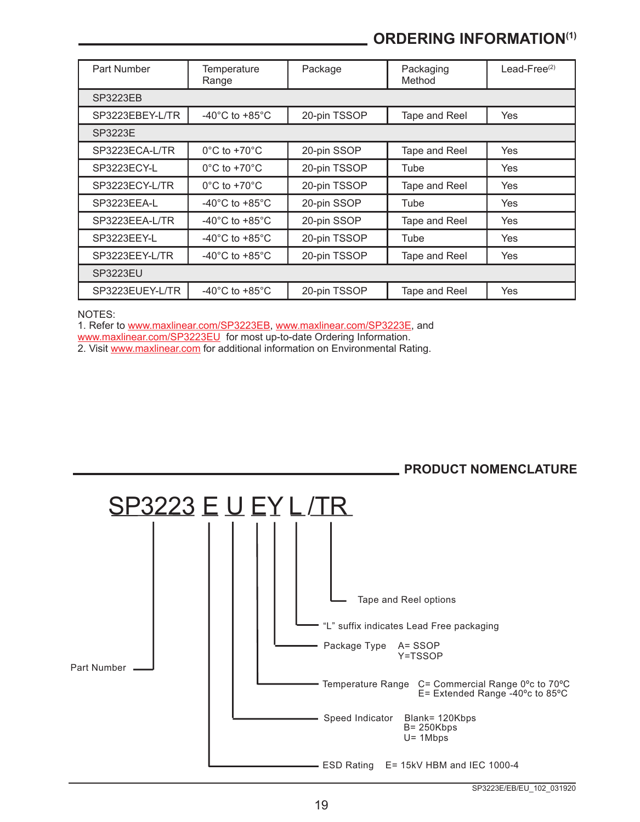# **ORDERING INFORMATION(1)**

| Part Number     | Temperature<br>Range                 | Package      | Packaging<br>Method | Lead-Free $(2)$ |  |
|-----------------|--------------------------------------|--------------|---------------------|-----------------|--|
| <b>SP3223EB</b> |                                      |              |                     |                 |  |
| SP3223EBEY-L/TR | -40 $^{\circ}$ C to +85 $^{\circ}$ C | 20-pin TSSOP | Tape and Reel       | <b>Yes</b>      |  |
| SP3223E         |                                      |              |                     |                 |  |
| SP3223ECA-L/TR  | $0^{\circ}$ C to +70 $^{\circ}$ C    | 20-pin SSOP  | Tape and Reel       | Yes             |  |
| SP3223ECY-L     | $0^{\circ}$ C to +70 $^{\circ}$ C    | 20-pin TSSOP | Tube                | <b>Yes</b>      |  |
| SP3223ECY-L/TR  | $0^{\circ}$ C to +70 $^{\circ}$ C    | 20-pin TSSOP | Tape and Reel       | Yes             |  |
| SP3223EEA-L     | -40 $^{\circ}$ C to +85 $^{\circ}$ C | 20-pin SSOP  | Tube                | <b>Yes</b>      |  |
| SP3223EEA-L/TR  | $-40^{\circ}$ C to $+85^{\circ}$ C   | 20-pin SSOP  | Tape and Reel       | <b>Yes</b>      |  |
| SP3223EEY-L     | $-40^{\circ}$ C to $+85^{\circ}$ C   | 20-pin TSSOP | Tube                | Yes             |  |
| SP3223EEY-L/TR  | -40 $^{\circ}$ C to +85 $^{\circ}$ C | 20-pin TSSOP | Tape and Reel       | <b>Yes</b>      |  |
| <b>SP3223EU</b> |                                      |              |                     |                 |  |
| SP3223EUEY-L/TR | -40 $^{\circ}$ C to +85 $^{\circ}$ C | 20-pin TSSOP | Tape and Reel       | Yes             |  |

NOTES:

1. Refer to [www.maxlinear.com/SP3223EB](http://www.maxlinear.com/SP3223EB), [www.maxlinear.com/SP3223E](http://www.maxlinear.com/SP3223E), and

[www.maxlinear.com/SP3223EU](http://www.maxlinear.com/SP3223EU) for most up-to-date Ordering Information.

2. Visit [www.maxlinear.com](http://www.maxlinear.com) for additional information on Environmental Rating.



#### SP3223E/EB/EU\_102\_031920